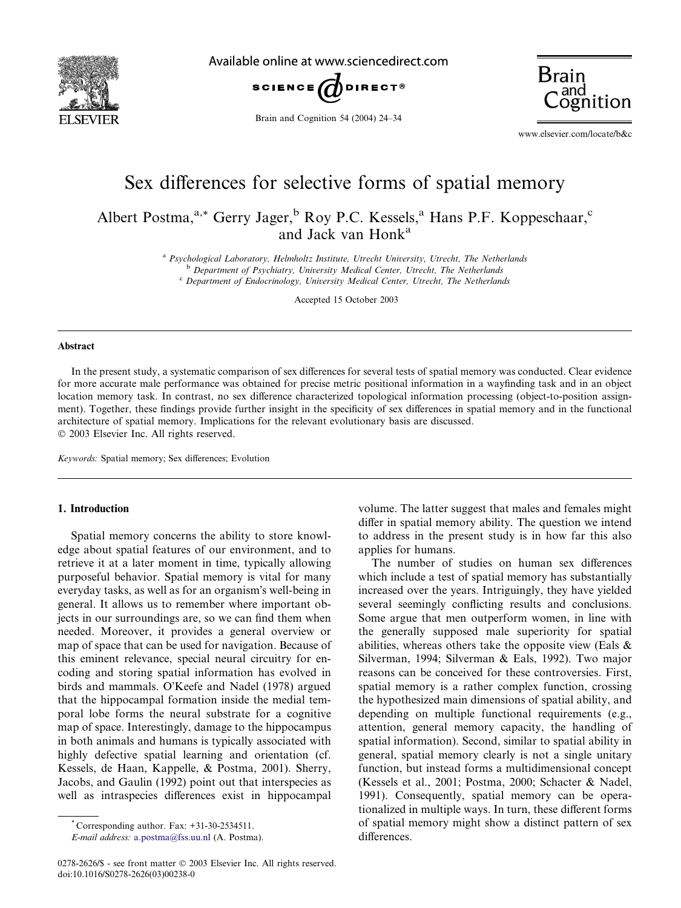

Available online at www.sciencedirect.com



Brain and Cognition 54 (2004) 24–34



www.elsevier.com/locate/b&c

## Sex differences for selective forms of spatial memory

Albert Postma,<sup>a,\*</sup> Gerry Jager,<sup>b</sup> Roy P.C. Kessels,<sup>a</sup> Hans P.F. Koppeschaar,<sup>c</sup> and Jack van Honk<sup>a</sup>

a Psychological Laboratory, Helmholtz Institute, Utrecht University, Utrecht, The Netherlands

**b** Department of Psychiatry, University Medical Center, Utrecht, The Netherlands

 $c$  Department of Endocrinology, University Medical Center, Utrecht, The Netherlands

Accepted 15 October 2003

## Abstract

In the present study, a systematic comparison of sex differences for several tests of spatial memory was conducted. Clear evidence for more accurate male performance was obtained for precise metric positional information in a wayfinding task and in an object location memory task. In contrast, no sex difference characterized topological information processing (object-to-position assignment). Together, these findings provide further insight in the specificity of sex differences in spatial memory and in the functional architecture of spatial memory. Implications for the relevant evolutionary basis are discussed. 2003 Elsevier Inc. All rights reserved.

Keywords: Spatial memory; Sex differences; Evolution

## 1. Introduction

Spatial memory concerns the ability to store knowledge about spatial features of our environment, and to retrieve it at a later moment in time, typically allowing purposeful behavior. Spatial memory is vital for many everyday tasks, as well as for an organism's well-being in general. It allows us to remember where important objects in our surroundings are, so we can find them when needed. Moreover, it provides a general overview or map of space that can be used for navigation. Because of this eminent relevance, special neural circuitry for encoding and storing spatial information has evolved in birds and mammals. O'Keefe and Nadel (1978) argued that the hippocampal formation inside the medial temporal lobe forms the neural substrate for a cognitive map of space. Interestingly, damage to the hippocampus in both animals and humans is typically associated with highly defective spatial learning and orientation (cf. Kessels, de Haan, Kappelle, & Postma, 2001). Sherry, Jacobs, and Gaulin (1992) point out that interspecies as well as intraspecies differences exist in hippocampal

 $^*$  Corresponding author. Fax:  $+31-30-2534511$ .

E-mail address: [a.postma@fss.uu.nl](mail to: a.postma@fss.uu.nl) (A. Postma).

volume. The latter suggest that males and females might differ in spatial memory ability. The question we intend to address in the present study is in how far this also applies for humans.

The number of studies on human sex differences which include a test of spatial memory has substantially increased over the years. Intriguingly, they have yielded several seemingly conflicting results and conclusions. Some argue that men outperform women, in line with the generally supposed male superiority for spatial abilities, whereas others take the opposite view (Eals & Silverman, 1994; Silverman & Eals, 1992). Two major reasons can be conceived for these controversies. First, spatial memory is a rather complex function, crossing the hypothesized main dimensions of spatial ability, and depending on multiple functional requirements (e.g., attention, general memory capacity, the handling of spatial information). Second, similar to spatial ability in general, spatial memory clearly is not a single unitary function, but instead forms a multidimensional concept (Kessels et al., 2001; Postma, 2000; Schacter & Nadel, 1991). Consequently, spatial memory can be operationalized in multiple ways. In turn, these different forms of spatial memory might show a distinct pattern of sex differences.

<sup>0278-2626/\$ -</sup> see front matter © 2003 Elsevier Inc. All rights reserved. doi:10.1016/S0278-2626(03)00238-0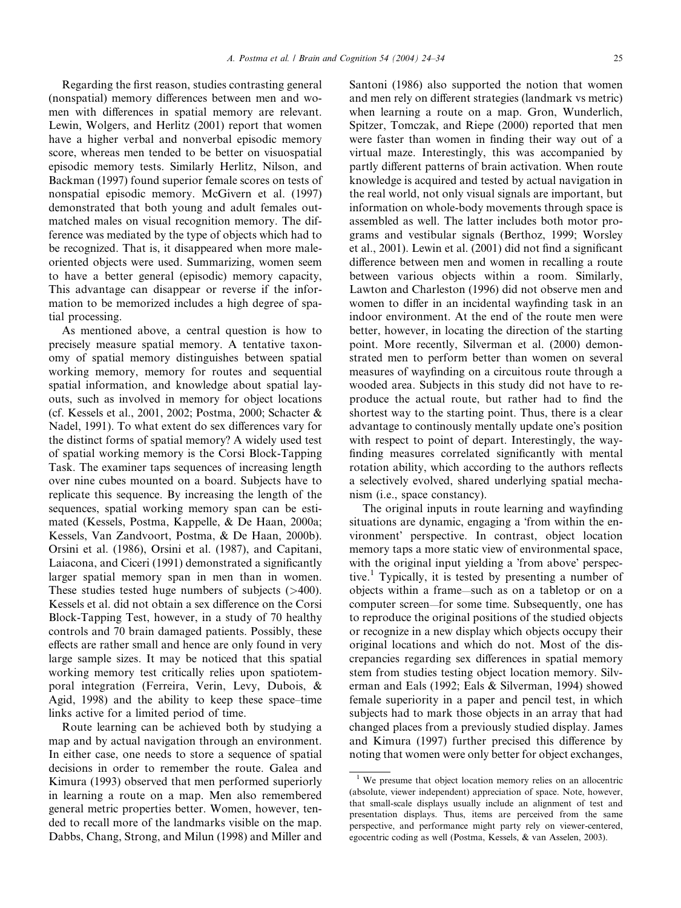Regarding the first reason, studies contrasting general (nonspatial) memory differences between men and women with differences in spatial memory are relevant. Lewin, Wolgers, and Herlitz (2001) report that women have a higher verbal and nonverbal episodic memory score, whereas men tended to be better on visuospatial episodic memory tests. Similarly Herlitz, Nilson, and Backman (1997) found superior female scores on tests of nonspatial episodic memory. McGivern et al. (1997) demonstrated that both young and adult females outmatched males on visual recognition memory. The difference was mediated by the type of objects which had to be recognized. That is, it disappeared when more maleoriented objects were used. Summarizing, women seem to have a better general (episodic) memory capacity, This advantage can disappear or reverse if the information to be memorized includes a high degree of spatial processing.

As mentioned above, a central question is how to precisely measure spatial memory. A tentative taxonomy of spatial memory distinguishes between spatial working memory, memory for routes and sequential spatial information, and knowledge about spatial layouts, such as involved in memory for object locations (cf. Kessels et al., 2001, 2002; Postma, 2000; Schacter & Nadel, 1991). To what extent do sex differences vary for the distinct forms of spatial memory? A widely used test of spatial working memory is the Corsi Block-Tapping Task. The examiner taps sequences of increasing length over nine cubes mounted on a board. Subjects have to replicate this sequence. By increasing the length of the sequences, spatial working memory span can be estimated (Kessels, Postma, Kappelle, & De Haan, 2000a; Kessels, Van Zandvoort, Postma, & De Haan, 2000b). Orsini et al. (1986), Orsini et al. (1987), and Capitani, Laiacona, and Ciceri (1991) demonstrated a significantly larger spatial memory span in men than in women. These studies tested huge numbers of subjects (>400). Kessels et al. did not obtain a sex difference on the Corsi Block-Tapping Test, however, in a study of 70 healthy controls and 70 brain damaged patients. Possibly, these effects are rather small and hence are only found in very large sample sizes. It may be noticed that this spatial working memory test critically relies upon spatiotemporal integration (Ferreira, Verin, Levy, Dubois, & Agid, 1998) and the ability to keep these space–time links active for a limited period of time.

Route learning can be achieved both by studying a map and by actual navigation through an environment. In either case, one needs to store a sequence of spatial decisions in order to remember the route. Galea and Kimura (1993) observed that men performed superiorly in learning a route on a map. Men also remembered general metric properties better. Women, however, tended to recall more of the landmarks visible on the map. Dabbs, Chang, Strong, and Milun (1998) and Miller and Santoni (1986) also supported the notion that women and men rely on different strategies (landmark vs metric) when learning a route on a map. Gron, Wunderlich, Spitzer, Tomczak, and Riepe (2000) reported that men were faster than women in finding their way out of a virtual maze. Interestingly, this was accompanied by partly different patterns of brain activation. When route knowledge is acquired and tested by actual navigation in the real world, not only visual signals are important, but information on whole-body movements through space is assembled as well. The latter includes both motor programs and vestibular signals (Berthoz, 1999; Worsley et al., 2001). Lewin et al. (2001) did not find a significant difference between men and women in recalling a route between various objects within a room. Similarly, Lawton and Charleston (1996) did not observe men and women to differ in an incidental wayfinding task in an indoor environment. At the end of the route men were better, however, in locating the direction of the starting point. More recently, Silverman et al. (2000) demonstrated men to perform better than women on several measures of wayfinding on a circuitous route through a wooded area. Subjects in this study did not have to reproduce the actual route, but rather had to find the shortest way to the starting point. Thus, there is a clear advantage to continously mentally update one's position with respect to point of depart. Interestingly, the wayfinding measures correlated significantly with mental rotation ability, which according to the authors reflects a selectively evolved, shared underlying spatial mechanism (i.e., space constancy).

The original inputs in route learning and wayfinding situations are dynamic, engaging a 'from within the environment' perspective. In contrast, object location memory taps a more static view of environmental space, with the original input yielding a 'from above' perspective.1 Typically, it is tested by presenting a number of objects within a frame—such as on a tabletop or on a computer screen—for some time. Subsequently, one has to reproduce the original positions of the studied objects or recognize in a new display which objects occupy their original locations and which do not. Most of the discrepancies regarding sex differences in spatial memory stem from studies testing object location memory. Silverman and Eals (1992; Eals & Silverman, 1994) showed female superiority in a paper and pencil test, in which subjects had to mark those objects in an array that had changed places from a previously studied display. James and Kimura (1997) further precised this difference by noting that women were only better for object exchanges,

<sup>&</sup>lt;sup>1</sup> We presume that object location memory relies on an allocentric (absolute, viewer independent) appreciation of space. Note, however, that small-scale displays usually include an alignment of test and presentation displays. Thus, items are perceived from the same perspective, and performance might party rely on viewer-centered, egocentric coding as well (Postma, Kessels, & van Asselen, 2003).